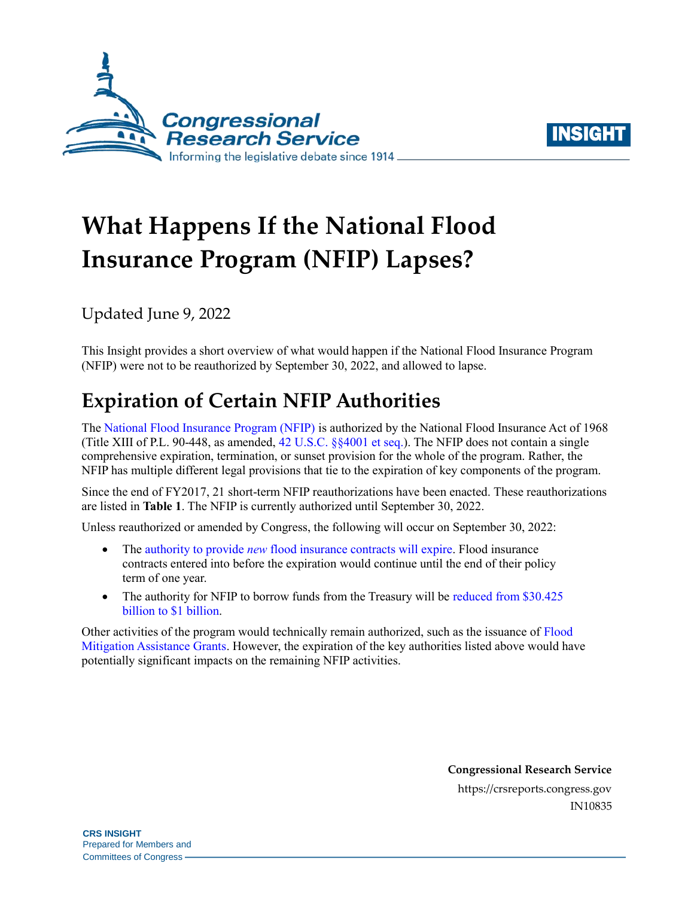



# **What Happens If the National Flood Insurance Program (NFIP) Lapses?**

Updated June 9, 2022

This Insight provides a short overview of what would happen if the National Flood Insurance Program (NFIP) were not to be reauthorized by September 30, 2022, and allowed to lapse.

## **Expiration of Certain NFIP Authorities**

The [National Flood Insurance Program \(NFIP\)](https://crsreports.congress.gov/product/pdf/R/R44593) is authorized by the National Flood Insurance Act of 1968 (Title XIII of P.L. 90-448, as amended, [42 U.S.C. §§4001 et seq.\)](http://uscode.house.gov/view.xhtml?req=(title:42%20section:4001%20edition:prelim)%20OR%20(granuleid:USC-prelim-title42-section4001)&f=treesort&edition=prelim&num=0&jumpTo=true). The NFIP does not contain a single comprehensive expiration, termination, or sunset provision for the whole of the program. Rather, the NFIP has multiple different legal provisions that tie to the expiration of key components of the program.

Since the end of FY2017, 21 short-term NFIP reauthorizations have been enacted. These reauthorizations are listed in **[Table 1](#page-1-0)**. The NFIP is currently authorized until September 30, 2022.

Unless reauthorized or amended by Congress, the following will occur on September 30, 2022:

- The authority to provide *new* [flood insurance contracts will expire.](https://www.govinfo.gov/content/pkg/USCODE-2015-title42/pdf/USCODE-2015-title42-chap50-subchapI-sec4026.pdf) Flood insurance contracts entered into before the expiration would continue until the end of their policy term of one year.
- The authority for NFIP to borrow funds from the Treasury will be reduced from \$30.425 [billion to \\$1 billion.](https://www.govinfo.gov/content/pkg/USCODE-2014-title42/pdf/USCODE-2014-title42-chap50-subchapI-sec4016.pdf)

Other activities of the program would technically remain authorized, such as the issuance of [Flood](https://www.fema.gov/grants/mitigation/floods)  [Mitigation Assistance Grants.](https://www.fema.gov/grants/mitigation/floods) However, the expiration of the key authorities listed above would have potentially significant impacts on the remaining NFIP activities.

> **Congressional Research Service** https://crsreports.congress.gov IN10835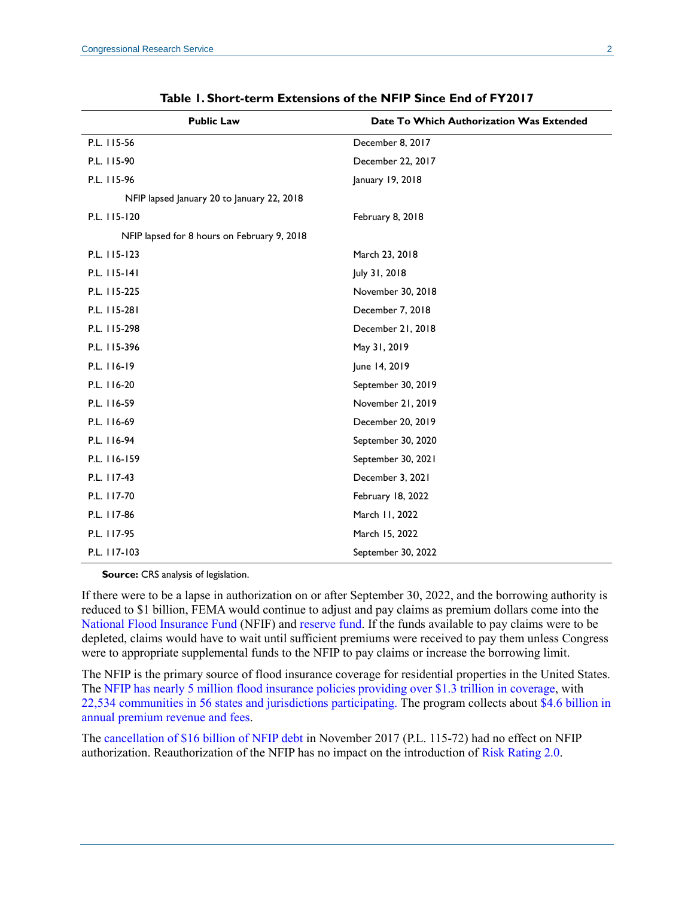<span id="page-1-0"></span>

| <b>Public Law</b>                           | Date To Which Authorization Was Extended |
|---------------------------------------------|------------------------------------------|
| P.L. 115-56                                 | December 8, 2017                         |
| P.L. 115-90                                 | December 22, 2017                        |
| P.L. 115-96                                 | January 19, 2018                         |
| NFIP lapsed January 20 to January 22, 2018  |                                          |
| P.L. 115-120                                | February 8, 2018                         |
| NFIP lapsed for 8 hours on February 9, 2018 |                                          |
| P.L. 115-123                                | March 23, 2018                           |
| P.L. 115-141                                | July 31, 2018                            |
| P.L. 115-225                                | November 30, 2018                        |
| P.L. 115-281                                | December 7, 2018                         |
| P.L. 115-298                                | December 21, 2018                        |
| P.L. 115-396                                | May 31, 2019                             |
| P.L. 116-19                                 | June 14, 2019                            |
| P.L. 116-20                                 | September 30, 2019                       |
| P.L. 116-59                                 | November 21, 2019                        |
| P.L. 116-69                                 | December 20, 2019                        |
| P.L. 116-94                                 | September 30, 2020                       |
| P.L. 116-159                                | September 30, 2021                       |
| P.L. 117-43                                 | December 3, 2021                         |
| P.L. 117-70                                 | February 18, 2022                        |
| P.L. 117-86                                 | March 11, 2022                           |
| P.L. 117-95                                 | March 15, 2022                           |
| P.L. 117-103                                | September 30, 2022                       |

**Table 1. Short-term Extensions of the NFIP Since End of FY2017**

**Source:** CRS analysis of legislation.

If there were to be a lapse in authorization on or after September 30, 2022, and the borrowing authority is reduced to \$1 billion, FEMA would continue to adjust and pay claims as premium dollars come into the [National Flood Insurance Fund](https://www.govinfo.gov/content/pkg/USCODE-2010-title42/pdf/USCODE-2010-title42-chap50-subchapI-sec4017.pdf) (NFIF) and [reserve fund.](https://www.gpo.gov/fdsys/pkg/USCODE-2016-title42/pdf/USCODE-2016-title42-chap50-subchapI-sec4017a.pdf) If the funds available to pay claims were to be depleted, claims would have to wait until sufficient premiums were received to pay them unless Congress were to appropriate supplemental funds to the NFIP to pay claims or increase the borrowing limit.

The NFIP is the primary source of flood insurance coverage for residential properties in the United States. The NFIP has nearly 5 [million flood insurance policies providing over \\$1.3 trillion](https://www.fema.gov/sites/default/files/documents/fema_fy-2021-q4-watermark.pdf) in coverage, with [22,534 communities in 56 states and jurisdictions participating.](https://www.fema.gov/sites/default/files/documents/fema_fy-2021-q4-watermark.pdf) The program collects about [\\$4.6 billion in](https://www.fema.gov/sites/default/files/documents/fema_fy-2021-q4-watermark.pdf)  [annual premium revenue and fees.](https://www.fema.gov/sites/default/files/documents/fema_fy-2021-q4-watermark.pdf)

The [cancellation of \\$16 billion of NFIP debt](https://crsreports.congress.gov/product/pdf/IN/IN10784) in November 2017 [\(P.L. 115-72\)](http://www.congress.gov/cgi-lis/bdquery/R?d115:FLD002:@1(115+72)) had no effect on NFIP authorization. Reauthorization of the NFIP has no impact on the introduction of [Risk Rating 2.0.](https://crsreports.congress.gov/product/pdf/R/R45999)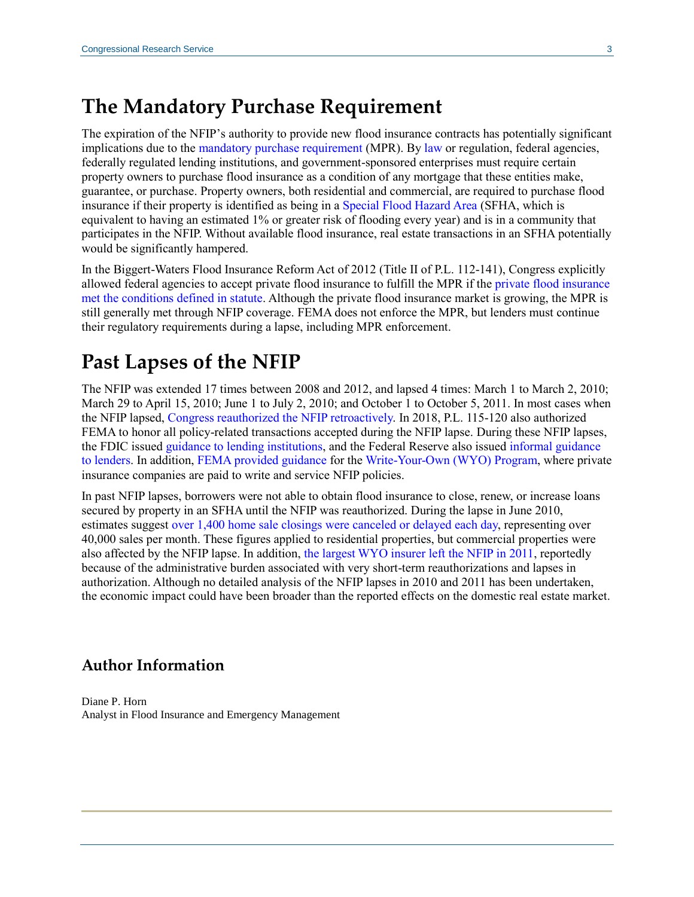## **The Mandatory Purchase Requirement**

The expiration of the NFIP's authority to provide new flood insurance contracts has potentially significant implications due to the [mandatory purchase requirement](https://www.fema.gov/node/404832) (MPR). By [law](https://www.govinfo.gov/content/pkg/USCODE-2019-title42/pdf/USCODE-2019-title42-chap50-subchapI-sec4012a.pdf) or regulation, federal agencies, federally regulated lending institutions, and government-sponsored enterprises must require certain property owners to purchase flood insurance as a condition of any mortgage that these entities make, guarantee, or purchase. Property owners, both residential and commercial, are required to purchase flood insurance if their property is identified as being in a [Special Flood Hazard Area](https://www.fema.gov/glossary/special-flood-hazard-area-sfha) (SFHA, which is equivalent to having an estimated 1% or greater risk of flooding every year) and is in a community that participates in the NFIP. Without available flood insurance, real estate transactions in an SFHA potentially would be significantly hampered.

In the Biggert-Waters Flood Insurance Reform Act of 2012 (Title II of [P.L. 112-141\)](http://www.congress.gov/cgi-lis/bdquery/R?d112:FLD002:@1(112+141)), Congress explicitly allowed federal agencies to accept private flood insurance to fulfill the MPR if th[e private flood insurance](https://www.govinfo.gov/content/pkg/USCODE-2019-title42/pdf/USCODE-2019-title42-chap50-subchapI-sec4012a.pdf)  [met the conditions defined in statute.](https://www.govinfo.gov/content/pkg/USCODE-2019-title42/pdf/USCODE-2019-title42-chap50-subchapI-sec4012a.pdf) Although the private flood insurance market is growing, the MPR is still generally met through NFIP coverage. FEMA does not enforce the MPR, but lenders must continue their regulatory requirements during a lapse, including MPR enforcement.

### **Past Lapses of the NFIP**

The NFIP was extended 17 times between 2008 and 2012, and lapsed 4 times: March 1 to March 2, 2010; March 29 to April 15, 2010; June 1 to July 2, 2010; and October 1 to October 5, 2011. In most cases when the NFIP lapsed, [Congress reauthorized the NFIP retroactively.](https://nfipservices.floodsmart.gov/sites/default/files/w-11084.pdf) In 2018, [P.L. 115-120](http://www.congress.gov/cgi-lis/bdquery/R?d115:FLD002:@1(115+120)) also authorized FEMA to honor all policy-related transactions accepted during the NFIP lapse. During these NFIP lapses, the FDIC issued [guidance to lending institutions,](https://www.fdic.gov/news/news/financial/2010/fil10023.html) and the Federal Reserve also issued [informal guidance](https://www.federalreserve.gov/boarddocs/caletters/2010/1003/10-3-attachment.pdf)  [to lenders.](https://www.federalreserve.gov/boarddocs/caletters/2010/1003/10-3-attachment.pdf) In addition, [FEMA provided guidance](https://nfipservices.floodsmart.gov/sites/default/files/w-10036.pdf) for th[e Write-Your-Own \(WYO\) Program,](https://nfipservices.floodsmart.gov/write-your-own-program) where private insurance companies are paid to write and service NFIP policies.

In past NFIP lapses, borrowers were not able to obtain flood insurance to close, renew, or increase loans secured by property in an SFHA until the NFIP was reauthorized. During the lapse in June 2010, estimates suggest [over 1,400 home sale closings were canceled or delayed each day,](http://www.tandfonline.com/doi/abs/10.1080/10406026.2012.730931) representing over 40,000 sales per month. These figures applied to residential properties, but commercial properties were also affected by the NFIP lapse. In addition, [the largest WYO insurer left the NFIP in 2011,](http://www.gao.gov/products/GAO-11-297) reportedly because of the administrative burden associated with very short-term reauthorizations and lapses in authorization. Although no detailed analysis of the NFIP lapses in 2010 and 2011 has been undertaken, the economic impact could have been broader than the reported effects on the domestic real estate market.

#### **Author Information**

Diane P. Horn Analyst in Flood Insurance and Emergency Management